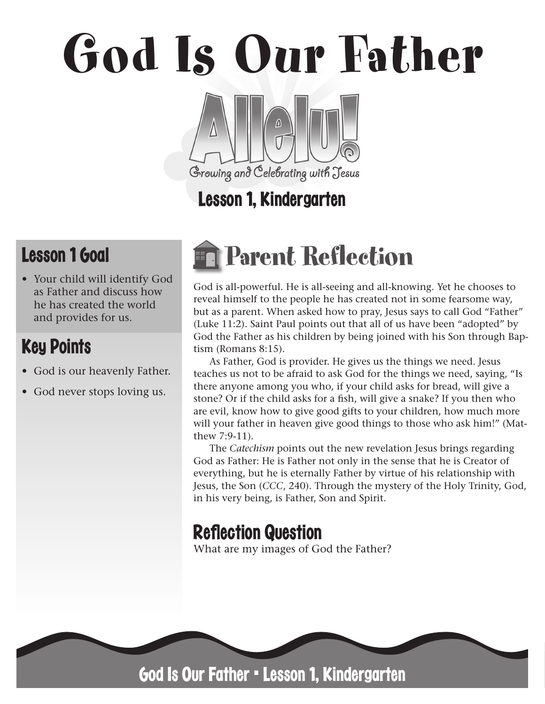# God Is Our Father Growing and Celebrating with Jesus

# Lesson 1, Kindergarten

# Lesson 1 Goal

• Your child will identify God as Father and discuss how he has created the world and provides for us.

# Key Points

- God is our heavenly Father.
- God never stops loving us.

# Parent Reflection

God is all-powerful. He is all-seeing and all-knowing. Yet he chooses to reveal himself to the people he has created not in some fearsome way, but as a parent. When asked how to pray, Jesus says to call God "Father" (Luke 11:2). Saint Paul points out that all of us have been "adopted" by God the Father as his children by being joined with his Son through Baptism (Romans 8:15).

As Father, God is provider. He gives us the things we need. Jesus teaches us not to be afraid to ask God for the things we need, saying, "Is there anyone among you who, if your child asks for bread, will give a stone? Or if the child asks for a fish, will give a snake? If you then who are evil, know how to give good gifts to your children, how much more will your father in heaven give good things to those who ask him!" (Matthew 7:9-11).

The *Catechism* points out the new revelation Jesus brings regarding God as Father: He is Father not only in the sense that he is Creator of everything, but he is eternally Father by virtue of his relationship with Jesus, the Son (*CCC*, 240). Through the mystery of the Holy Trinity, God, in his very being, is Father, Son and Spirit.

# **Reflection Question**

What are my images of God the Father?



God Is Our Father • Lesson 1, Kindergarten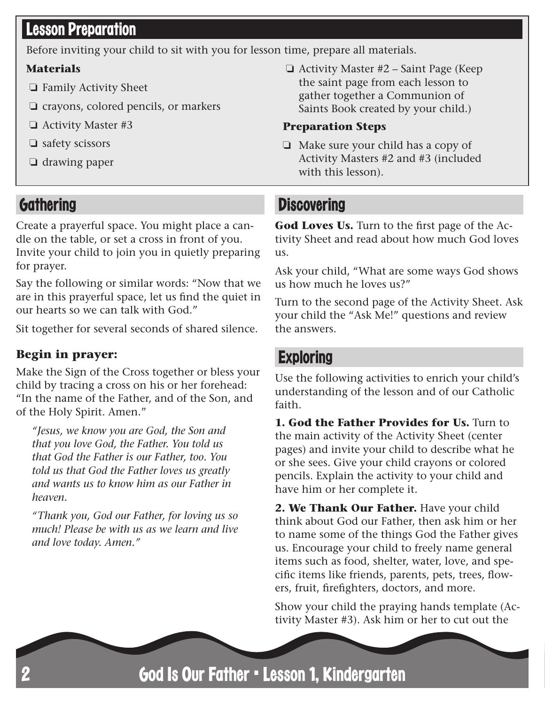# Lesson Preparation

Before inviting your child to sit with you for lesson time, prepare all materials.

#### **Materials**

- ❏ Family Activity Sheet
- ❏ crayons, colored pencils, or markers
- ❏ Activity Master #3
- ❏ safety scissors
- ❏ drawing paper

# **Gathering**

Create a prayerful space. You might place a candle on the table, or set a cross in front of you. Invite your child to join you in quietly preparing for prayer.

Say the following or similar words: "Now that we are in this prayerful space, let us find the quiet in our hearts so we can talk with God."

Sit together for several seconds of shared silence.

#### **Begin in prayer:**

Make the Sign of the Cross together or bless your child by tracing a cross on his or her forehead: "In the name of the Father, and of the Son, and of the Holy Spirit. Amen."

*"Jesus, we know you are God, the Son and that you love God, the Father. You told us that God the Father is our Father, too. You told us that God the Father loves us greatly and wants us to know him as our Father in heaven.*

*"Thank you, God our Father, for loving us so much! Please be with us as we learn and live and love today. Amen."*

❏ Activity Master #2 – Saint Page (Keep the saint page from each lesson to gather together a Communion of Saints Book created by your child.)

#### **Preparation Steps**

❏ Make sure your child has a copy of Activity Masters #2 and #3 (included with this lesson).

# **Discovering**

God Loves Us. Turn to the first page of the Activity Sheet and read about how much God loves us.

Ask your child, "What are some ways God shows us how much he loves us?"

Turn to the second page of the Activity Sheet. Ask your child the "Ask Me!" questions and review the answers.

## **Exploring**

Use the following activities to enrich your child's understanding of the lesson and of our Catholic faith.

**1. God the Father Provides for Us.** Turn to the main activity of the Activity Sheet (center pages) and invite your child to describe what he or she sees. Give your child crayons or colored pencils. Explain the activity to your child and have him or her complete it.

**2. We Thank Our Father.** Have your child think about God our Father, then ask him or her to name some of the things God the Father gives us. Encourage your child to freely name general items such as food, shelter, water, love, and specific items like friends, parents, pets, trees, flowers, fruit, firefighters, doctors, and more.

Show your child the praying hands template (Activity Master #3). Ask him or her to cut out the

God Is Our Father • Lesson 1, Kindergarten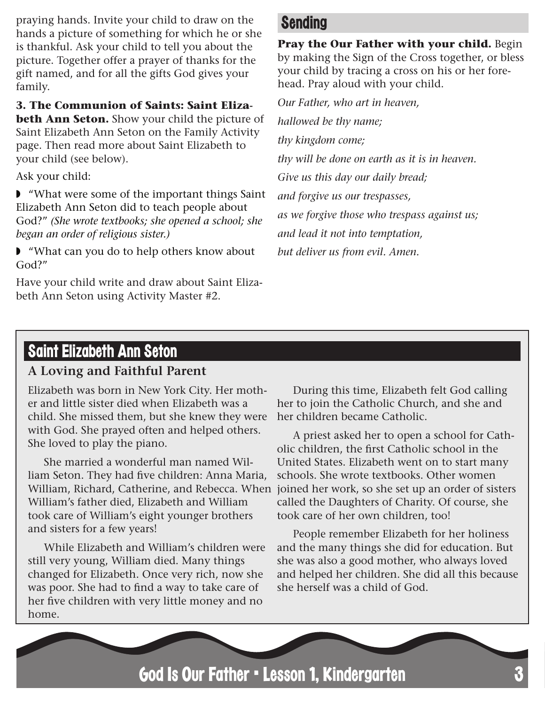praying hands. Invite your child to draw on the hands a picture of something for which he or she is thankful. Ask your child to tell you about the picture. Together offer a prayer of thanks for the gift named, and for all the gifts God gives your family.

**3. The Communion of Saints: Saint Eliza-**

**beth Ann Seton.** Show your child the picture of Saint Elizabeth Ann Seton on the Family Activity page. Then read more about Saint Elizabeth to your child (see below).

Ask your child:

◗ "What were some of the important things Saint Elizabeth Ann Seton did to teach people about God?" *(She wrote textbooks; she opened a school; she began an order of religious sister.)* 

◗ "What can you do to help others know about God?"

Have your child write and draw about Saint Elizabeth Ann Seton using Activity Master #2.

### Sending

**Pray the Our Father with your child.** Begin by making the Sign of the Cross together, or bless your child by tracing a cross on his or her forehead. Pray aloud with your child.

*Our Father, who art in heaven, hallowed be thy name; thy kingdom come; thy will be done on earth as it is in heaven. Give us this day our daily bread; and forgive us our trespasses, as we forgive those who trespass against us; and lead it not into temptation, but deliver us from evil. Amen.*

### Saint Elizabeth Ann Seton

#### **A Loving and Faithful Parent**

Elizabeth was born in New York City. Her mother and little sister died when Elizabeth was a child. She missed them, but she knew they were with God. She prayed often and helped others. She loved to play the piano.

She married a wonderful man named William Seton. They had five children: Anna Maria, William, Richard, Catherine, and Rebecca. When joined her work, so she set up an order of sisters William's father died, Elizabeth and William took care of William's eight younger brothers and sisters for a few years!

While Elizabeth and William's children were still very young, William died. Many things changed for Elizabeth. Once very rich, now she was poor. She had to find a way to take care of her five children with very little money and no home.

During this time, Elizabeth felt God calling her to join the Catholic Church, and she and her children became Catholic.

A priest asked her to open a school for Catholic children, the first Catholic school in the United States. Elizabeth went on to start many schools. She wrote textbooks. Other women called the Daughters of Charity. Of course, she took care of her own children, too!

People remember Elizabeth for her holiness and the many things she did for education. But she was also a good mother, who always loved and helped her children. She did all this because she herself was a child of God.

God Is Our Father • Lesson 1, Kindergarten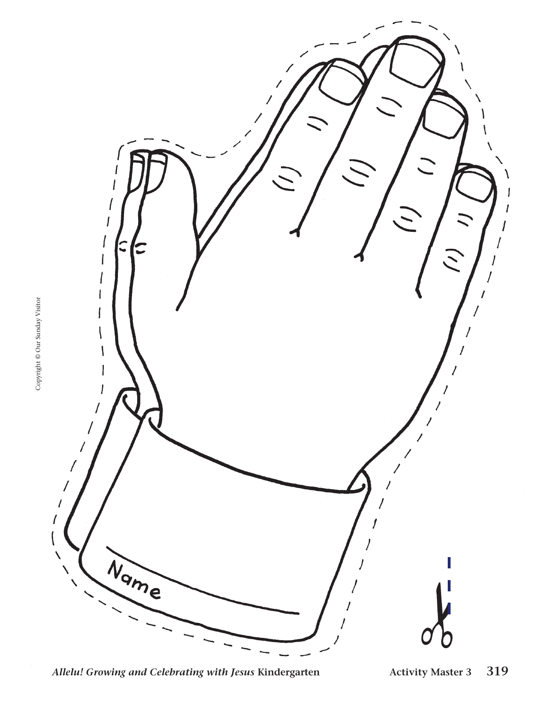

*Allelu! Growing and Celebrating with Jesus* **Kindergarten Activity Master 3 319**